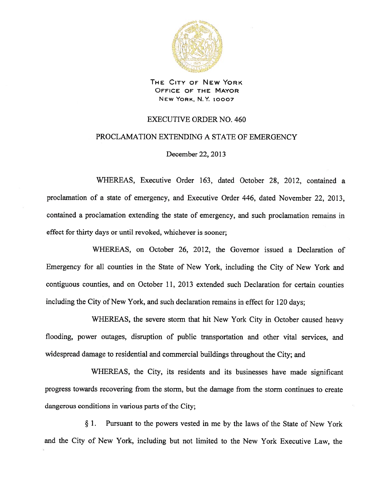

THE CITY OF NEW YORK OFFICE OF THE MAYOR NEW YORK, N.Y. 10007

## EXECUTIVE ORDER NO. 460

## PROCLAMATION EXTENDING A STATE OF EMERGENCY

December 22, 2013

WHEREAS, Executive Order 163, dated October 28, 2012, contained <sup>a</sup> proclamation of <sup>a</sup> state of emergency, and Executive Order 446, dated November 22, 2013, contained <sup>a</sup> proclamation extending the state of emergency, and such proclamation remains in effect for thirty days or until revoked, whichever is sooner;

WHEREAS, on October 26, 2012, the Governor issued <sup>a</sup> Declaration of Emergency for all counties in the State of New York, including the City of New York and contiguous counties, and on October 11, 2013 extended such Declaration for certain counties including the City of New York, and such declaration remains in effect for 120 days;

WHEREAS, the severe storm that hit New York City in October caused heavy flooding, power outages, disruption of public transportation and other vital services, and widespread damage to residential and commercial buildings throughout the City; and

WHEREAS, the City, its residents and its businesses have made significant progress towards recovering from the storm, but the damage from the storm continues to create dangerous conditions in various parts of the City;

§ 1. Pursuant to the powers vested in me by the laws of the State of New York and the City of New York, including but not limited to the New York Executive Law, the